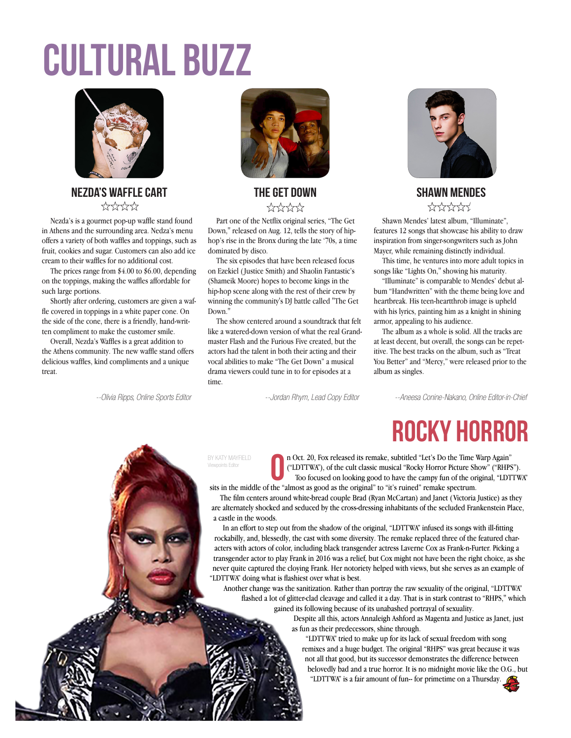# Cultural Buzz



#### NEZDA'S WAFFLE CART THE GET DOWN SHAWN MENDES \*\*\*\*\*\*

Nezda's is a gourmet pop-up waffle stand found in Athens and the surrounding area. Nedza's menu offers a variety of both waffles and toppings, such as fruit, cookies and sugar. Customers can also add ice cream to their waffles for no additional cost.

The prices range from \$4.00 to \$6.00, depending on the toppings, making the waffles affordable for such large portions.

Shortly after ordering, customers are given a waffle covered in toppings in a white paper cone. On the side of the cone, there is a friendly, hand-written compliment to make the customer smile.

Overall, Nezda's Waffles is a great addition to the Athens community. The new waffle stand offers delicious waffles, kind compliments and a unique treat.



## \*\*\*\*\*

Part one of the Netflix original series, "The Get Down," released on Aug. 12, tells the story of hiphop's rise in the Bronx during the late '70s, a time dominated by disco.

The six episodes that have been released focus on Ezekiel (Justice Smith) and Shaolin Fantastic's (Shameik Moore) hopes to become kings in the hip-hop scene along with the rest of their crew by winning the community's DJ battle called "The Get Down<sup>"</sup>

The show centered around a soundtrack that felt like a watered-down version of what the real Grandmaster Flash and the Furious Five created, but the actors had the talent in both their acting and their vocal abilities to make "The Get Down" a musical drama viewers could tune in to for episodes at a time.



## \*\*\*\*\*\*

Shawn Mendes' latest album, "Illuminate", features 12 songs that showcase his ability to draw inspiration from singer-songwriters such as John Mayer, while remaining distinctly individual.

This time, he ventures into more adult topics in songs like "Lights On," showing his maturity.

"Illuminate" is comparable to Mendes' debut album "Handwritten" with the theme being love and heartbreak. His teen-heartthrob image is upheld with his lyrics, painting him as a knight in shining armor, appealing to his audience.

The album as a whole is solid. All the tracks are at least decent, but overall, the songs can be repetitive. The best tracks on the album, such as "Treat You Better" and "Mercy," were released prior to the album as singles.

--Olivia Ripps, Online Sports Editor --Jordan Rhym, Lead Copy Editor --Aneesa Conine-Nakano, Online Editor-in-Chief

Rocky Horror

#### BY KATY MAYFIELD Viewpoints Editor



sits in the middle of the "almost as good as the original" to "it's ruined" remake spectrum. The film centers around white-bread couple Brad (Ryan McCartan) and Janet (Victoria Justice) as they are alternately shocked and seduced by the cross-dressing inhabitants of the secluded Frankenstein Place, a castle in the woods.

In an effort to step out from the shadow of the original, "LDTTWA" infused its songs with ill-fitting rockabilly, and, blessedly, the cast with some diversity. The remake replaced three of the featured characters with actors of color, including black transgender actress Laverne Cox as Frank-n-Furter. Picking a transgender actor to play Frank in 2016 was a relief, but Cox might not have been the right choice, as she never quite captured the cloying Frank. Her notoriety helped with views, but she serves as an example of "LDTTWA" doing what is flashiest over what is best.

Another change was the sanitization. Rather than portray the raw sexuality of the original, "LDTTWA" flashed a lot of glitter-clad cleavage and called it a day. That is in stark contrast to "RHPS," which gained its following because of its unabashed portrayal of sexuality.

> Despite all this, actors Annaleigh Ashford as Magenta and Justice as Janet, just as fun as their predecessors, shine through.

"LDTTWA" tried to make up for its lack of sexual freedom with song remixes and a huge budget. The original "RHPS" was great because it was not all that good, but its successor demonstrates the difference between belovedly bad and a true horror. It is no midnight movie like the O.G., but

"LDTTWA" is a fair amount of fun-- for primetime on a Thursday.